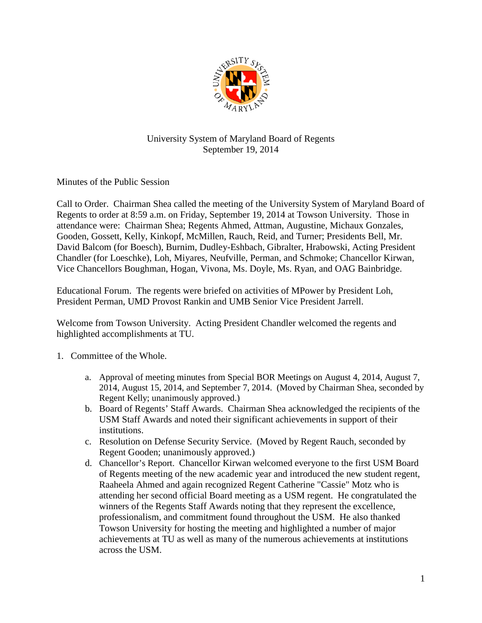

## University System of Maryland Board of Regents September 19, 2014

Minutes of the Public Session

Call to Order. Chairman Shea called the meeting of the University System of Maryland Board of Regents to order at 8:59 a.m. on Friday, September 19, 2014 at Towson University. Those in attendance were: Chairman Shea; Regents Ahmed, Attman, Augustine, Michaux Gonzales, Gooden, Gossett, Kelly, Kinkopf, McMillen, Rauch, Reid, and Turner; Presidents Bell, Mr. David Balcom (for Boesch), Burnim, Dudley-Eshbach, Gibralter, Hrabowski, Acting President Chandler (for Loeschke), Loh, Miyares, Neufville, Perman, and Schmoke; Chancellor Kirwan, Vice Chancellors Boughman, Hogan, Vivona, Ms. Doyle, Ms. Ryan, and OAG Bainbridge.

Educational Forum. The regents were briefed on activities of MPower by President Loh, President Perman, UMD Provost Rankin and UMB Senior Vice President Jarrell.

Welcome from Towson University. Acting President Chandler welcomed the regents and highlighted accomplishments at TU.

- 1. Committee of the Whole.
	- a. Approval of meeting minutes from Special BOR Meetings on August 4, 2014, August 7, 2014, August 15, 2014, and September 7, 2014. (Moved by Chairman Shea, seconded by Regent Kelly; unanimously approved.)
	- b. Board of Regents' Staff Awards. Chairman Shea acknowledged the recipients of the USM Staff Awards and noted their significant achievements in support of their institutions.
	- c. Resolution on Defense Security Service. (Moved by Regent Rauch, seconded by Regent Gooden; unanimously approved.)
	- d. Chancellor's Report. Chancellor Kirwan welcomed everyone to the first USM Board of Regents meeting of the new academic year and introduced the new student regent, Raaheela Ahmed and again recognized Regent Catherine "Cassie" Motz who is attending her second official Board meeting as a USM regent. He congratulated the winners of the Regents Staff Awards noting that they represent the excellence, professionalism, and commitment found throughout the USM. He also thanked Towson University for hosting the meeting and highlighted a number of major achievements at TU as well as many of the numerous achievements at institutions across the USM.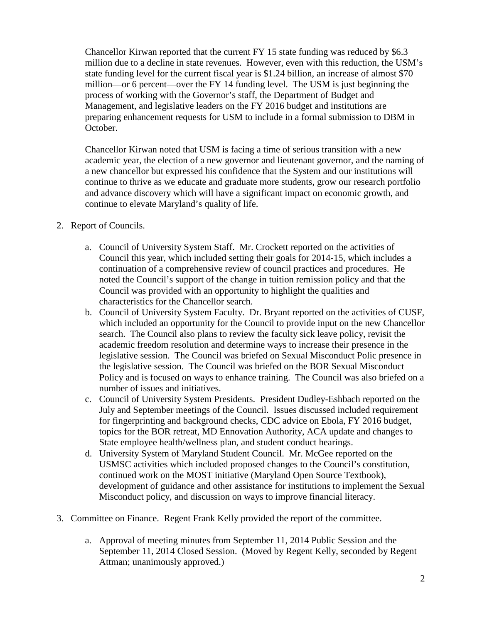Chancellor Kirwan reported that the current FY 15 state funding was reduced by \$6.3 million due to a decline in state revenues. However, even with this reduction, the USM's state funding level for the current fiscal year is \$1.24 billion, an increase of almost \$70 million—or 6 percent—over the FY 14 funding level. The USM is just beginning the process of working with the Governor's staff, the Department of Budget and Management, and legislative leaders on the FY 2016 budget and institutions are preparing enhancement requests for USM to include in a formal submission to DBM in October.

Chancellor Kirwan noted that USM is facing a time of serious transition with a new academic year, the election of a new governor and lieutenant governor, and the naming of a new chancellor but expressed his confidence that the System and our institutions will continue to thrive as we educate and graduate more students, grow our research portfolio and advance discovery which will have a significant impact on economic growth, and continue to elevate Maryland's quality of life.

- 2. Report of Councils.
	- a. Council of University System Staff. Mr. Crockett reported on the activities of Council this year, which included setting their goals for 2014-15, which includes a continuation of a comprehensive review of council practices and procedures. He noted the Council's support of the change in tuition remission policy and that the Council was provided with an opportunity to highlight the qualities and characteristics for the Chancellor search.
	- b. Council of University System Faculty. Dr. Bryant reported on the activities of CUSF, which included an opportunity for the Council to provide input on the new Chancellor search. The Council also plans to review the faculty sick leave policy, revisit the academic freedom resolution and determine ways to increase their presence in the legislative session. The Council was briefed on Sexual Misconduct Polic presence in the legislative session. The Council was briefed on the BOR Sexual Misconduct Policy and is focused on ways to enhance training. The Council was also briefed on a number of issues and initiatives.
	- c. Council of University System Presidents. President Dudley-Eshbach reported on the July and September meetings of the Council. Issues discussed included requirement for fingerprinting and background checks, CDC advice on Ebola, FY 2016 budget, topics for the BOR retreat, MD Ennovation Authority, ACA update and changes to State employee health/wellness plan, and student conduct hearings.
	- d. University System of Maryland Student Council. Mr. McGee reported on the USMSC activities which included proposed changes to the Council's constitution, continued work on the MOST initiative (Maryland Open Source Textbook), development of guidance and other assistance for institutions to implement the Sexual Misconduct policy, and discussion on ways to improve financial literacy.
- 3. Committee on Finance. Regent Frank Kelly provided the report of the committee.
	- a. Approval of meeting minutes from September 11, 2014 Public Session and the September 11, 2014 Closed Session. (Moved by Regent Kelly, seconded by Regent Attman; unanimously approved.)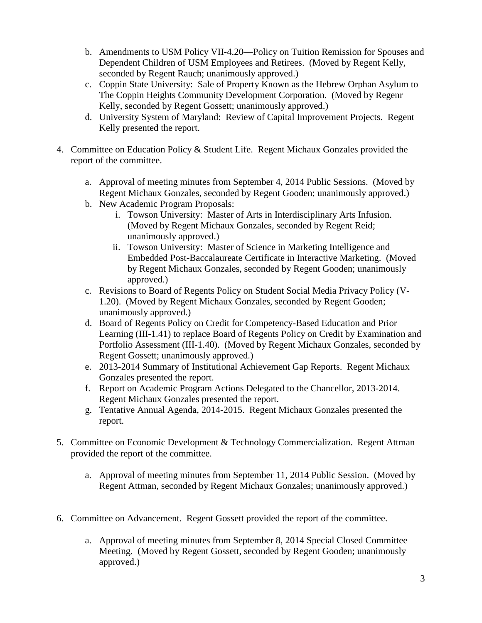- b. Amendments to USM Policy VII-4.20—Policy on Tuition Remission for Spouses and Dependent Children of USM Employees and Retirees. (Moved by Regent Kelly, seconded by Regent Rauch; unanimously approved.)
- c. Coppin State University: Sale of Property Known as the Hebrew Orphan Asylum to The Coppin Heights Community Development Corporation. (Moved by Regenr Kelly, seconded by Regent Gossett; unanimously approved.)
- d. University System of Maryland: Review of Capital Improvement Projects. Regent Kelly presented the report.
- 4. Committee on Education Policy & Student Life. Regent Michaux Gonzales provided the report of the committee.
	- a. Approval of meeting minutes from September 4, 2014 Public Sessions. (Moved by Regent Michaux Gonzales, seconded by Regent Gooden; unanimously approved.)
	- b. New Academic Program Proposals:
		- i. Towson University: Master of Arts in Interdisciplinary Arts Infusion. (Moved by Regent Michaux Gonzales, seconded by Regent Reid; unanimously approved.)
		- ii. Towson University: Master of Science in Marketing Intelligence and Embedded Post-Baccalaureate Certificate in Interactive Marketing. (Moved by Regent Michaux Gonzales, seconded by Regent Gooden; unanimously approved.)
	- c. Revisions to Board of Regents Policy on Student Social Media Privacy Policy (V-1.20). (Moved by Regent Michaux Gonzales, seconded by Regent Gooden; unanimously approved.)
	- d. Board of Regents Policy on Credit for Competency-Based Education and Prior Learning (III-1.41) to replace Board of Regents Policy on Credit by Examination and Portfolio Assessment (III-1.40). (Moved by Regent Michaux Gonzales, seconded by Regent Gossett; unanimously approved.)
	- e. 2013-2014 Summary of Institutional Achievement Gap Reports. Regent Michaux Gonzales presented the report.
	- f. Report on Academic Program Actions Delegated to the Chancellor, 2013-2014. Regent Michaux Gonzales presented the report.
	- g. Tentative Annual Agenda, 2014-2015. Regent Michaux Gonzales presented the report.
- 5. Committee on Economic Development & Technology Commercialization. Regent Attman provided the report of the committee.
	- a. Approval of meeting minutes from September 11, 2014 Public Session. (Moved by Regent Attman, seconded by Regent Michaux Gonzales; unanimously approved.)
- 6. Committee on Advancement. Regent Gossett provided the report of the committee.
	- a. Approval of meeting minutes from September 8, 2014 Special Closed Committee Meeting. (Moved by Regent Gossett, seconded by Regent Gooden; unanimously approved.)